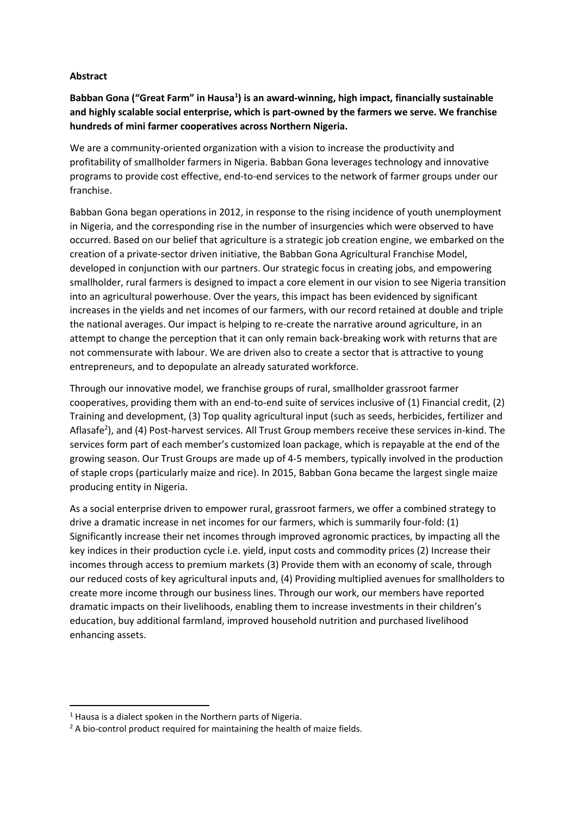## **Abstract**

**Babban Gona ("Great Farm" in Hausa<sup>1</sup> ) is an award-winning, high impact, financially sustainable and highly scalable social enterprise, which is part-owned by the farmers we serve. We franchise hundreds of mini farmer cooperatives across Northern Nigeria.** 

We are a community-oriented organization with a vision to increase the productivity and profitability of smallholder farmers in Nigeria. Babban Gona leverages technology and innovative programs to provide cost effective, end-to-end services to the network of farmer groups under our franchise.

Babban Gona began operations in 2012, in response to the rising incidence of youth unemployment in Nigeria, and the corresponding rise in the number of insurgencies which were observed to have occurred. Based on our belief that agriculture is a strategic job creation engine, we embarked on the creation of a private-sector driven initiative, the Babban Gona Agricultural Franchise Model, developed in conjunction with our partners. Our strategic focus in creating jobs, and empowering smallholder, rural farmers is designed to impact a core element in our vision to see Nigeria transition into an agricultural powerhouse. Over the years, this impact has been evidenced by significant increases in the yields and net incomes of our farmers, with our record retained at double and triple the national averages. Our impact is helping to re-create the narrative around agriculture, in an attempt to change the perception that it can only remain back-breaking work with returns that are not commensurate with labour. We are driven also to create a sector that is attractive to young entrepreneurs, and to depopulate an already saturated workforce.

Through our innovative model, we franchise groups of rural, smallholder grassroot farmer cooperatives, providing them with an end-to-end suite of services inclusive of (1) Financial credit, (2) Training and development, (3) Top quality agricultural input (such as seeds, herbicides, fertilizer and Aflasafe<sup>2</sup>), and (4) Post-harvest services. All Trust Group members receive these services in-kind. The services form part of each member's customized loan package, which is repayable at the end of the growing season. Our Trust Groups are made up of 4-5 members, typically involved in the production of staple crops (particularly maize and rice). In 2015, Babban Gona became the largest single maize producing entity in Nigeria.

As a social enterprise driven to empower rural, grassroot farmers, we offer a combined strategy to drive a dramatic increase in net incomes for our farmers, which is summarily four-fold: (1) Significantly increase their net incomes through improved agronomic practices, by impacting all the key indices in their production cycle i.e. yield, input costs and commodity prices (2) Increase their incomes through access to premium markets (3) Provide them with an economy of scale, through our reduced costs of key agricultural inputs and, (4) Providing multiplied avenues for smallholders to create more income through our business lines. Through our work, our members have reported dramatic impacts on their livelihoods, enabling them to increase investments in their children's education, buy additional farmland, improved household nutrition and purchased livelihood enhancing assets.

**.** 

 $1$  Hausa is a dialect spoken in the Northern parts of Nigeria.

<sup>&</sup>lt;sup>2</sup> A bio-control product required for maintaining the health of maize fields.